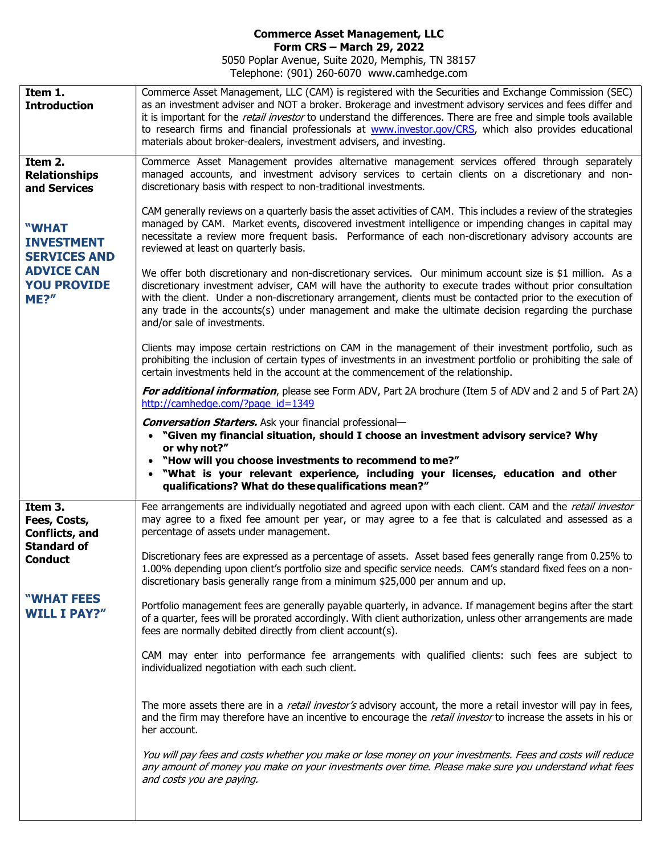## Commerce Asset Management, LLC Form CRS – March 29, 2022

5050 Poplar Avenue, Suite 2020, Memphis, TN 38157 Telephone: (901) 260-6070 www.camhedge.com

Item 1. **Introduction** Commerce Asset Management, LLC (CAM) is registered with the Securities and Exchange Commission (SEC) as an investment adviser and NOT a broker. Brokerage and investment advisory services and fees differ and it is important for the *retail investor* to understand the differences. There are free and simple tools available to research firms and financial professionals at www.investor.gov/CRS, which also provides educational materials about broker-dealers, investment advisers, and investing. Item 2. **Relationships** and Services "WHAT INVESTMENT SERVICES AND ADVICE CAN YOU PROVIDE ME?" Commerce Asset Management provides alternative management services offered through separately managed accounts, and investment advisory services to certain clients on a discretionary and nondiscretionary basis with respect to non-traditional investments. CAM generally reviews on a quarterly basis the asset activities of CAM. This includes a review of the strategies managed by CAM. Market events, discovered investment intelligence or impending changes in capital may necessitate a review more frequent basis. Performance of each non-discretionary advisory accounts are reviewed at least on quarterly basis. We offer both discretionary and non-discretionary services. Our minimum account size is \$1 million. As a discretionary investment adviser, CAM will have the authority to execute trades without prior consultation with the client. Under a non-discretionary arrangement, clients must be contacted prior to the execution of any trade in the accounts(s) under management and make the ultimate decision regarding the purchase and/or sale of investments. Clients may impose certain restrictions on CAM in the management of their investment portfolio, such as prohibiting the inclusion of certain types of investments in an investment portfolio or prohibiting the sale of certain investments held in the account at the commencement of the relationship. For additional information, please see Form ADV, Part 2A brochure (Item 5 of ADV and 2 and 5 of Part 2A) http://camhedge.com/?page\_id=1349 Conversation Starters. Ask your financial professional- "Given my financial situation, should I choose an investment advisory service? Why or why not?" "How will you choose investments to recommend to me?" "What is your relevant experience, including your licenses, education and other qualifications? What do these qualifications mean?" Item 3. Fees, Costs, Conflicts, and Standard of **Conduct** "WHAT FEES WILL I PAY?" Fee arrangements are individually negotiated and agreed upon with each client. CAM and the retail investor may agree to a fixed fee amount per year, or may agree to a fee that is calculated and assessed as a percentage of assets under management. Discretionary fees are expressed as a percentage of assets. Asset based fees generally range from 0.25% to 1.00% depending upon client's portfolio size and specific service needs. CAM's standard fixed fees on a nondiscretionary basis generally range from a minimum \$25,000 per annum and up. Portfolio management fees are generally payable quarterly, in advance. If management begins after the start of a quarter, fees will be prorated accordingly. With client authorization, unless other arrangements are made fees are normally debited directly from client account(s). CAM may enter into performance fee arrangements with qualified clients: such fees are subject to individualized negotiation with each such client. The more assets there are in a *retail investor's* advisory account, the more a retail investor will pay in fees, and the firm may therefore have an incentive to encourage the *retail investor* to increase the assets in his or her account. You will pay fees and costs whether you make or lose money on your investments. Fees and costs will reduce any amount of money you make on your investments over time. Please make sure you understand what fees and costs you are paying.